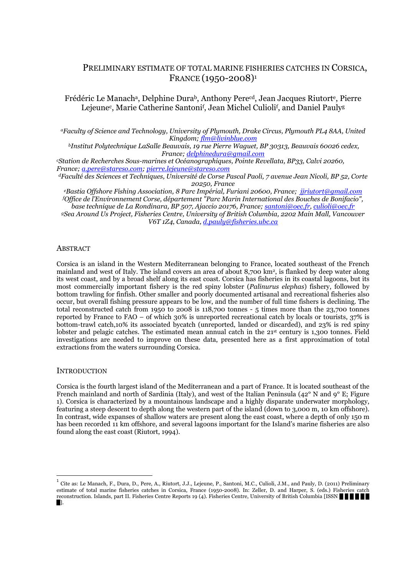# PRELIMINARY ESTIMATE OF TOTAL MARINE FISHERIES CATCHES IN CORSICA, FRANCE (1950-2008)<sup>1</sup>

Frédéric Le Manach<sup>a</sup>, Delphine Dura<sup>b</sup>, Anthony Pere<sup>cd</sup>, Jean Jacques Riutort<sup>e</sup>, Pierre Lejeune<sup>c</sup>, Marie Catherine Santoni<sup>f</sup>, Jean Michel Culioli<sup>f</sup>, and Daniel Pauly<sup>g</sup>

*<sup>a</sup>Faculty of Science and Technology, University of Plymouth, Drake Circus, Plymouth PL4 8AA, United Kingdom; flm@livinblue.com*

*<sup>b</sup>Institut Polytechnique LaSalle Beauvais, 19 rue Pierre Waguet, BP 30313, Beauvais 60026 cedex, France; delphinedura@gmail.com*

*<sup>c</sup>Station de Recherches Sous-marines et Océanographiques, Pointe Revellata, BP33, Calvi 20260, France; a.pere@stareso.com; pierre.lejeune@stareso.com*

*<sup>d</sup>Faculté des Sciences et Techniques, Université de Corse Pascal Paoli, 7 avenue Jean Nicoli, BP 52, Corte 20250, France* 

*<sup>e</sup>Bastia Offshore Fishing Association, 8 Parc Impérial, Furiani 20600, France; jjriutort@gmail.com <sup>f</sup>Office de l'Environnement Corse, département "Parc Marin International des Bouches de Bonifacio", base technique de La Rondinara, BP 507, Ajaccio 20176, France; santoni@oec.fr, culioli@oec.fr <sup>g</sup>Sea Around Us Project, Fisheries Centre, University of British Columbia, 2202 Main Mall, Vancouver V6T 1Z4, Canada, d.pauly@fisheries.ubc.ca* 

ABSTRACT

Corsica is an island in the Western Mediterranean belonging to France, located southeast of the French mainland and west of Italy. The island covers an area of about 8,700 km2, is flanked by deep water along its west coast, and by a broad shelf along its east coast. Corsica has fisheries in its coastal lagoons, but its most commercially important fishery is the red spiny lobster (*Palinurus elephas*) fishery, followed by bottom trawling for finfish. Other smaller and poorly documented artisanal and recreational fisheries also occur, but overall fishing pressure appears to be low, and the number of full time fishers is declining. The total reconstructed catch from 1950 to 2008 is 118,700 tonnes - 5 times more than the 23,700 tonnes reported by France to FAO – of which 30% is unreported recreational catch by locals or tourists, 37% is bottom-trawl catch,10% its associated bycatch (unreported, landed or discarded), and 23% is red spiny lobster and pelagic catches. The estimated mean annual catch in the 21st century is 1,300 tonnes. Field investigations are needed to improve on these data, presented here as a first approximation of total extractions from the waters surrounding Corsica.

### **INTRODUCTION**

Corsica is the fourth largest island of the Mediterranean and a part of France. It is located southeast of the French mainland and north of Sardinia (Italy), and west of the Italian Peninsula (42° N and 9° E; Figure 1). Corsica is characterized by a mountainous landscape and a highly disparate underwater morphology, featuring a steep descent to depth along the western part of the island (down to 3,000 m, 10 km offshore). In contrast, wide expanses of shallow waters are present along the east coast, where a depth of only 150 m has been recorded 11 km offshore, and several lagoons important for the Island's marine fisheries are also found along the east coast (Riutort, 1994).

 $\overline{a}$ 

<sup>1</sup> Cite as: Le Manach, F., Dura, D., Pere, A., Riutort, J.J., Lejeune, P., Santoni, M.C., Culioli, J.M., and Pauly, D. (2011) Preliminary estimate of total marine fisheries catches in Corsica, France (1950-2008). In: Zeller, D. and Harper, S. (eds.) Fisheries catch reconstruction. Islands, part II. Fisheries Centre Reports 19 (4). Fisheries Centre, University of British Columbia [ISSN X X X X X X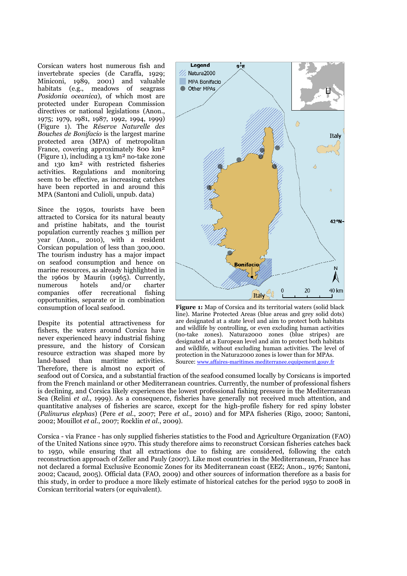Corsican waters host numerous fish and invertebrate species (de Caraffa, 1929; Miniconi, 1989, 2001) and valuable habitats (e.g., meadows of seagrass *Posidonia oceanica*), of which most are protected under European Commission directives or national legislations (Anon., 1975; 1979, 1981, 1987, 1992, 1994, 1999) (Figure 1). The *Réserve Naturelle des Bouches de Bonifacio* is the largest marine protected area (MPA) of metropolitan France, covering approximately 800 km² (Figure 1), including a 13 km² no-take zone and 130 km² with restricted fisheries activities. Regulations and monitoring seem to be effective, as increasing catches have been reported in and around this MPA (Santoni and Culioli, unpub. data)

Since the 1950s, tourists have been attracted to Corsica for its natural beauty and pristine habitats, and the tourist population currently reaches 3 million per year (Anon., 2010), with a resident Corsican population of less than 300,000. The tourism industry has a major impact on seafood consumption and hence on marine resources, as already highlighted in the 1960s by Maurin (1965). Currently,<br>numerous hotels and/or charter numerous hotels and/or charter companies offer recreational fishing opportunities, separate or in combination consumption of local seafood.

Despite its potential attractiveness for fishers, the waters around Corsica have never experienced heavy industrial fishing pressure, and the history of Corsican resource extraction was shaped more by land-based than maritime activities. Therefore, there is almost no export of



**Figure 1:** Map of Corsica and its territorial waters (solid black line). Marine Protected Areas (blue areas and grey solid dots) are designated at a state level and aim to protect both habitats and wildlife by controlling, or even excluding human activities (no-take zones). Natura2000 zones (blue stripes) are designated at a European level and aim to protect both habitats and wildlife, without excluding human activities. The level of protection in the Natura2000 zones is lower than for MPAs. Source: www.affaires-maritimes.mediterranee.equipement.gouv.fr

seafood out of Corsica, and a substantial fraction of the seafood consumed locally by Corsicans is imported from the French mainland or other Mediterranean countries. Currently, the number of professional fishers is declining, and Corsica likely experiences the lowest professional fishing pressure in the Mediterranean Sea (Relini *et al.*, 1999). As a consequence, fisheries have generally not received much attention, and quantitative analyses of fisheries are scarce, except for the high-profile fishery for red spiny lobster (*Palinurus elephas*) (Pere *et al.*, 2007; Pere *et al.*, 2010) and for MPA fisheries (Rigo, 2000; Santoni, 2002; Mouillot *et al.*, 2007; Rocklin *et al.*, 2009).

Corsica - via France - has only supplied fisheries statistics to the Food and Agriculture Organization (FAO) of the United Nations since 1970. This study therefore aims to reconstruct Corsican fisheries catches back to 1950, while ensuring that all extractions due to fishing are considered, following the catch reconstruction approach of Zeller and Pauly (2007). Like most countries in the Mediterranean, France has not declared a formal Exclusive Economic Zones for its Mediterranean coast (EEZ; Anon., 1976; Santoni, 2002; Cacaud, 2005). Official data (FAO, 2009) and other sources of information therefore as a basis for this study, in order to produce a more likely estimate of historical catches for the period 1950 to 2008 in Corsican territorial waters (or equivalent).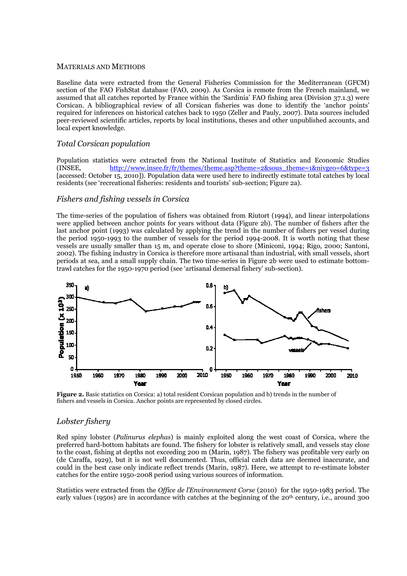#### MATERIALS AND METHODS

Baseline data were extracted from the General Fisheries Commission for the Mediterranean (GFCM) section of the FAO FishStat database (FAO, 2009). As Corsica is remote from the French mainland, we assumed that all catches reported by France within the 'Sardinia' FAO fishing area (Division 37.1.3) were Corsican. A bibliographical review of all Corsican fisheries was done to identify the 'anchor points' required for inferences on historical catches back to 1950 (Zeller and Pauly, 2007). Data sources included peer-reviewed scientific articles, reports by local institutions, theses and other unpublished accounts, and local expert knowledge.

## *Total Corsican population*

Population statistics were extracted from the National Institute of Statistics and Economic Studies (INSEE, http://www.insee.fr/fr/themes/theme.asp?theme=2&sous\_theme=1&nivgeo=6&type=3 [accessed: October 15, 2010]). Population data were used here to indirectly estimate total catches by local residents (see 'recreational fisheries: residents and tourists' sub-section; Figure 2a).

### *Fishers and fishing vessels in Corsica*

The time-series of the population of fishers was obtained from Riutort (1994), and linear interpolations were applied between anchor points for years without data (Figure 2b). The number of fishers after the last anchor point (1993) was calculated by applying the trend in the number of fishers per vessel during the period 1950-1993 to the number of vessels for the period 1994-2008. It is worth noting that these vessels are usually smaller than 15 m, and operate close to shore (Miniconi, 1994; Rigo, 2000; Santoni, 2002). The fishing industry in Corsica is therefore more artisanal than industrial, with small vessels, short periods at sea, and a small supply chain. The two time-series in Figure 2b were used to estimate bottomtrawl catches for the 1950-1970 period (see 'artisanal demersal fishery' sub-section).



**Figure 2.** Basic statistics on Corsica: a) total resident Corsican population and b) trends in the number of fishers and vessels in Corsica. Anchor points are represented by closed circles.

### *Lobster fishery*

Red spiny lobster (*Palinurus elephas*) is mainly exploited along the west coast of Corsica, where the preferred hard-bottom habitats are found. The fishery for lobster is relatively small, and vessels stay close to the coast, fishing at depths not exceeding 200 m (Marin, 1987). The fishery was profitable very early on (de Caraffa, 1929), but it is not well documented. Thus, official catch data are deemed inaccurate, and could in the best case only indicate reflect trends (Marin, 1987). Here, we attempt to re-estimate lobster catches for the entire 1950-2008 period using various sources of information.

Statistics were extracted from the *Office de l'Environnement Corse* (2010) for the 1950-1983 period. The early values (1950s) are in accordance with catches at the beginning of the 20<sup>th</sup> century, i.e., around 300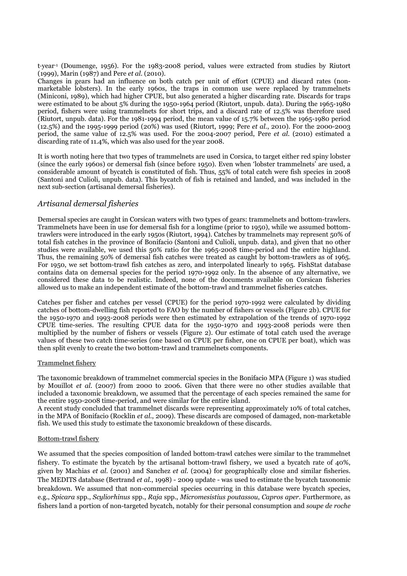tyear-1 (Doumenge, 1956). For the 1983-2008 period, values were extracted from studies by Riutort (1999), Marin (1987) and Pere *et al.* (2010).

Changes in gears had an influence on both catch per unit of effort (CPUE) and discard rates (nonmarketable lobsters). In the early 1960s, the traps in common use were replaced by trammelnets (Miniconi, 1989), which had higher CPUE, but also generated a higher discarding rate. Discards for traps were estimated to be about 5% during the 1950-1964 period (Riutort, unpub. data). During the 1965-1980 period, fishers were using trammelnets for short trips, and a discard rate of 12.5% was therefore used (Riutort, unpub. data). For the 1981-1994 period, the mean value of 15.7% between the 1965-1980 period (12.5%) and the 1995-1999 period (20%) was used (Riutort, 1999; Pere *et al.*, 2010). For the 2000-2003 period, the same value of 12.5% was used. For the 2004-2007 period, Pere *et al.* (2010) estimated a discarding rate of 11.4%, which was also used for the year 2008.

It is worth noting here that two types of trammelnets are used in Corsica, to target either red spiny lobster (since the early 1960s) or demersal fish (since before 1950). Even when 'lobster trammelnets' are used, a considerable amount of bycatch is constituted of fish. Thus, 55% of total catch were fish species in 2008 (Santoni and Culioli, unpub. data). This bycatch of fish is retained and landed, and was included in the next sub-section (artisanal demersal fisheries).

### *Artisanal demersal fisheries*

Demersal species are caught in Corsican waters with two types of gears: trammelnets and bottom-trawlers. Trammelnets have been in use for demersal fish for a longtime (prior to 1950), while we assumed bottomtrawlers were introduced in the early 1950s (Riutort, 1994). Catches by trammelnets may represent 50% of total fish catches in the province of Bonifacio (Santoni and Culioli, unpub. data), and given that no other studies were available, we used this 50% ratio for the 1965-2008 time-period and the entire highland. Thus, the remaining 50% of demersal fish catches were treated as caught by bottom-trawlers as of 1965. For 1950, we set bottom-trawl fish catches as zero, and interpolated linearly to 1965. FishStat database contains data on demersal species for the period 1970-1992 only. In the absence of any alternative, we considered these data to be realistic. Indeed, none of the documents available on Corsican fisheries allowed us to make an independent estimate of the bottom-trawl and trammelnet fisheries catches.

Catches per fisher and catches per vessel (CPUE) for the period 1970-1992 were calculated by dividing catches of bottom-dwelling fish reported to FAO by the number of fishers or vessels (Figure 2b). CPUE for the 1950-1970 and 1993-2008 periods were then estimated by extrapolation of the trends of 1970-1992 CPUE time-series. The resulting CPUE data for the 1950-1970 and 1993-2008 periods were then multiplied by the number of fishers or vessels (Figure 2). Our estimate of total catch used the average values of these two catch time-series (one based on CPUE per fisher, one on CPUE per boat), which was then split evenly to create the two bottom-trawl and trammelnets components.

#### Trammelnet fishery

The taxonomic breakdown of trammelnet commercial species in the Bonifacio MPA (Figure 1) was studied by Mouillot *et al.* (2007) from 2000 to 2006. Given that there were no other studies available that included a taxonomic breakdown, we assumed that the percentage of each species remained the same for the entire 1950-2008 time-period, and were similar for the entire island.

A recent study concluded that trammelnet discards were representing approximately 10% of total catches, in the MPA of Bonifacio (Rocklin *et al.*, 2009). These discards are composed of damaged, non-marketable fish. We used this study to estimate the taxonomic breakdown of these discards.

#### Bottom-trawl fishery

We assumed that the species composition of landed bottom-trawl catches were similar to the trammelnet fishery. To estimate the bycatch by the artisanal bottom-trawl fishery, we used a bycatch rate of 40%, given by Machias *et al.* (2001) and Sanchez *et al.* (2004) for geographically close and similar fisheries. The MEDITS database (Bertrand *et al.*, 1998) - 2009 update - was used to estimate the bycatch taxonomic breakdown. We assumed that non-commercial species occurring in this database were bycatch species, e.g., *Spicara* spp., *Scyliorhinus* spp., *Raja* spp., *Micromesistius poutassou*, *Capros aper*. Furthermore, as fishers land a portion of non-targeted bycatch, notably for their personal consumption and *soupe de roche*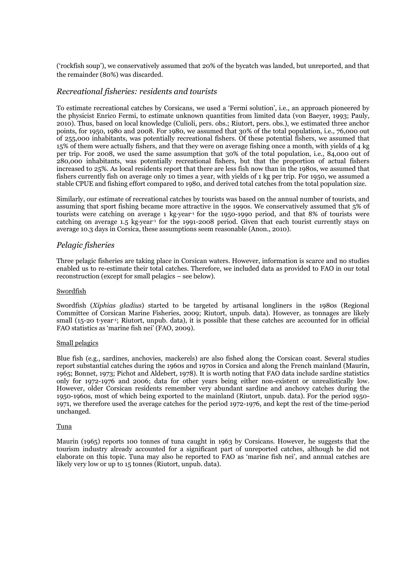('rockfish soup'), we conservatively assumed that 20% of the bycatch was landed, but unreported, and that the remainder (80%) was discarded.

## *Recreational fisheries: residents and tourists*

To estimate recreational catches by Corsicans, we used a 'Fermi solution', i.e., an approach pioneered by the physicist Enrico Fermi, to estimate unknown quantities from limited data (von Baeyer, 1993; Pauly, 2010). Thus, based on local knowledge (Culioli, pers. obs.; Riutort, pers. obs.), we estimated three anchor points, for 1950, 1980 and 2008. For 1980, we assumed that 30% of the total population, i.e., 76,000 out of 255,000 inhabitants, was potentially recreational fishers. Of these potential fishers, we assumed that 15% of them were actually fishers, and that they were on average fishing once a month, with yields of 4 kg per trip. For 2008, we used the same assumption that 30% of the total population, i.e., 84,000 out of 280,000 inhabitants, was potentially recreational fishers, but that the proportion of actual fishers increased to 25%. As local residents report that there are less fish now than in the 1980s, we assumed that fishers currently fish on average only 10 times a year, with yields of 1 kg per trip. For 1950, we assumed a stable CPUE and fishing effort compared to 1980, and derived total catches from the total population size.

Similarly, our estimate of recreational catches by tourists was based on the annual number of tourists, and assuming that sport fishing became more attractive in the 1990s. We conservatively assumed that 5% of tourists were catching on average 1 kg vear<sup>-1</sup> for the 1950-1990 period, and that 8% of tourists were catching on average  $1.5$  kg year<sup>-1</sup> for the 1991-2008 period. Given that each tourist currently stays on average 10.3 days in Corsica, these assumptions seem reasonable (Anon., 2010).

## *Pelagic fisheries*

Three pelagic fisheries are taking place in Corsican waters. However, information is scarce and no studies enabled us to re-estimate their total catches. Therefore, we included data as provided to FAO in our total reconstruction (except for small pelagics – see below).

#### Swordfish

Swordfish (*Xiphias gladius*) started to be targeted by artisanal longliners in the 1980s (Regional Committee of Corsican Marine Fisheries, 2009; Riutort, unpub. data). However, as tonnages are likely small (15-20 t-vear<sup>-1</sup>; Riutort, unpub. data), it is possible that these catches are accounted for in official FAO statistics as 'marine fish nei' (FAO, 2009).

#### Small pelagics

Blue fish (e.g., sardines, anchovies, mackerels) are also fished along the Corsican coast. Several studies report substantial catches during the 1960s and 1970s in Corsica and along the French mainland (Maurin, 1965; Bonnet, 1973; Pichot and Aldebert, 1978). It is worth noting that FAO data include sardine statistics only for 1972-1976 and 2006; data for other years being either non-existent or unrealistically low. However, older Corsican residents remember very abundant sardine and anchovy catches during the 1950-1960s, most of which being exported to the mainland (Riutort, unpub. data). For the period 1950- 1971, we therefore used the average catches for the period 1972-1976, and kept the rest of the time-period unchanged.

#### Tuna

Maurin (1965) reports 100 tonnes of tuna caught in 1963 by Corsicans. However, he suggests that the tourism industry already accounted for a significant part of unreported catches, although he did not elaborate on this topic. Tuna may also be reported to FAO as 'marine fish nei', and annual catches are likely very low or up to 15 tonnes (Riutort, unpub. data).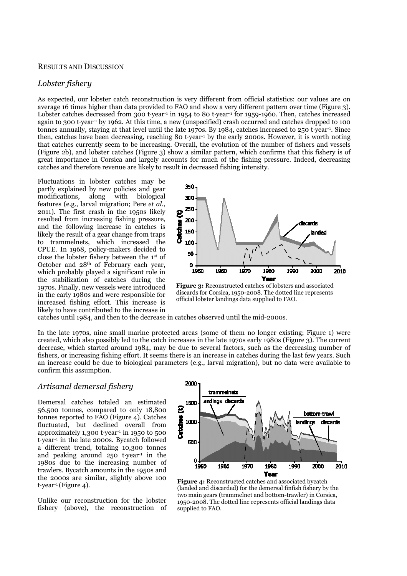#### RESULTS AND DISCUSSION

## *Lobster fishery*

As expected, our lobster catch reconstruction is very different from official statistics: our values are on average 16 times higher than data provided to FAO and show a very different pattern over time (Figure 3). Lobster catches decreased from 300 tyear<sup>-1</sup> in 1954 to 80 tyear<sup>-1</sup> for 1959-1960. Then, catches increased again to 300 tyear-1 by 1962. At this time, a new (unspecified) crash occurred and catches dropped to 100 tonnes annually, staying at that level until the late 1970s. By 1984, catches increased to 250 tyear-1. Since then, catches have been decreasing, reaching 80 tyear-1 by the early 2000s. However, it is worth noting that catches currently seem to be increasing. Overall, the evolution of the number of fishers and vessels (Figure 2b), and lobster catches (Figure 3) show a similar pattern, which confirms that this fishery is of great importance in Corsica and largely accounts for much of the fishing pressure. Indeed, decreasing catches and therefore revenue are likely to result in decreased fishing intensity.

Fluctuations in lobster catches may be partly explained by new policies and gear modifications, along with biological features (e.g., larval migration; Pere *et al.*, 2011). The first crash in the 1950s likely resulted from increasing fishing pressure, and the following increase in catches is likely the result of a gear change from traps to trammelnets, which increased the CPUE. In 1968, policy-makers decided to close the lobster fishery between the 1st of October and 28th of February each year, which probably played a significant role in the stabilization of catches during the 1970s. Finally, new vessels were introduced in the early 1980s and were responsible for increased fishing effort. This increase is likely to have contributed to the increase in



**Figure 3:** Reconstructed catches of lobsters and associated discards for Corsica, 1950-2008. The dotted line represents official lobster landings data supplied to FAO.

catches until 1984, and then to the decrease in catches observed until the mid-2000s.

In the late 1970s, nine small marine protected areas (some of them no longer existing; Figure 1) were created, which also possibly led to the catch increases in the late 1970s early 1980s (Figure 3). The current decrease, which started around 1984, may be due to several factors, such as the decreasing number of fishers, or increasing fishing effort. It seems there is an increase in catches during the last few years. Such an increase could be due to biological parameters (e.g., larval migration), but no data were available to confirm this assumption.

### *Artisanal demersal fishery*

Demersal catches totaled an estimated 56,500 tonnes, compared to only 18,800 tonnes reported to FAO (Figure 4). Catches fluctuated, but declined overall from approximately  $1,300$  t $\cdot$ year<sup>-1</sup> in 1950 to 500 tyear<sup>-1</sup> in the late 2000s. Bycatch followed a different trend, totaling 10,300 tonnes and peaking around  $250$  t-year<sup>1</sup> in the 1980s due to the increasing number of trawlers. Bycatch amounts in the 1950s and the 2000s are similar, slightly above 100  $t$ ·year<sup>-1</sup> (Figure 4).

Unlike our reconstruction for the lobster fishery (above), the reconstruction of



**Figure 4:** Reconstructed catches and associated bycatch (landed and discarded) for the demersal finfish fishery by the two main gears (trammelnet and bottom-trawler) in Corsica, 1950-2008. The dotted line represents official landings data supplied to FAO.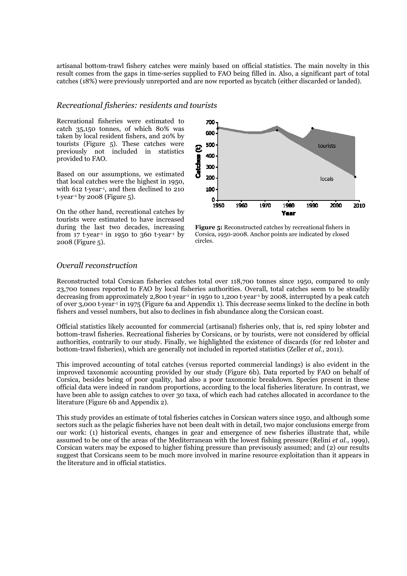artisanal bottom-trawl fishery catches were mainly based on official statistics. The main novelty in this result comes from the gaps in time-series supplied to FAO being filled in. Also, a significant part of total catches (18%) were previously unreported and are now reported as bycatch (either discarded or landed).

### *Recreational fisheries: residents and tourists*

Recreational fisheries were estimated to catch 35,150 tonnes, of which 80% was taken by local resident fishers, and 20% by tourists (Figure 5). These catches were previously not included in statistics provided to FAO.

Based on our assumptions, we estimated that local catches were the highest in 1950, with 612 tyear<sup>1</sup>, and then declined to 210 t. year<sup>-1</sup> by 2008 (Figure 5).

On the other hand, recreational catches by tourists were estimated to have increased during the last two decades, increasing from  $17$  t $\cdot$ year<sup>-1</sup> in 1950 to 360 t $\cdot$ year<sup>-1</sup> by 2008 (Figure 5).



**Figure 5:** Reconstructed catches by recreational fishers in Corsica, 1950-2008. Anchor points are indicated by closed circles.

# *Overall reconstruction*

Reconstructed total Corsican fisheries catches total over 118,700 tonnes since 1950, compared to only 23,700 tonnes reported to FAO by local fisheries authorities. Overall, total catches seem to be steadily decreasing from approximately 2,800 tyear<sup>-1</sup> in 1950 to 1,200 tyear<sup>-1</sup> by 2008, interrupted by a peak catch of over 3,000 tyear-1 in 1975 (Figure 6a and Appendix 1). This decrease seems linked to the decline in both fishers and vessel numbers, but also to declines in fish abundance along the Corsican coast.

Official statistics likely accounted for commercial (artisanal) fisheries only, that is, red spiny lobster and bottom-trawl fisheries. Recreational fisheries by Corsicans, or by tourists, were not considered by official authorities, contrarily to our study. Finally, we highlighted the existence of discards (for red lobster and bottom-trawl fisheries), which are generally not included in reported statistics (Zeller *et al.*, 2011).

This improved accounting of total catches (versus reported commercial landings) is also evident in the improved taxonomic accounting provided by our study (Figure 6b). Data reported by FAO on behalf of Corsica, besides being of poor quality, had also a poor taxonomic breakdown. Species present in these official data were indeed in random proportions, according to the local fisheries literature. In contrast, we have been able to assign catches to over 30 taxa, of which each had catches allocated in accordance to the literature (Figure 6b and Appendix 2).

This study provides an estimate of total fisheries catches in Corsican waters since 1950, and although some sectors such as the pelagic fisheries have not been dealt with in detail, two major conclusions emerge from our work: (1) historical events, changes in gear and emergence of new fisheries illustrate that, while assumed to be one of the areas of the Mediterranean with the lowest fishing pressure (Relini *et al.*, 1999), Corsican waters may be exposed to higher fishing pressure than previsously assumed; and (2) our results suggest that Corsicans seem to be much more involved in marine resource exploitation than it appears in the literature and in official statistics.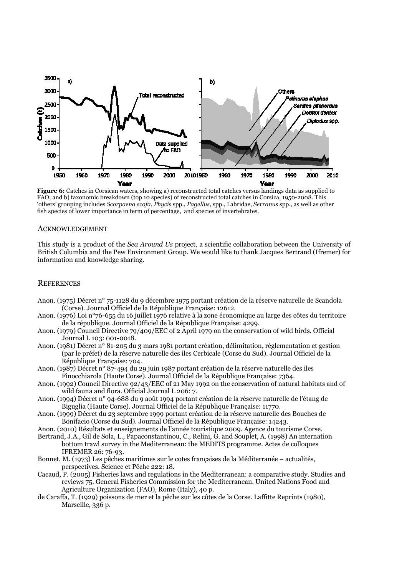

**Figure 6:** Catches in Corsican waters, showing a) reconstructed total catches versus landings data as supplied to FAO; and b) taxonomic breakdown (top 10 species) of reconstructed total catches in Corsica, 1950-2008. This 'others' grouping includes *Scorpaena scofa*, *Phycis* spp., *Pagellus*, spp., Labridae, *Serranus* spp., as well as other fish species of lower importance in term of percentage, and species of invertebrates.

#### ACKNOWLEDGEMENT

This study is a product of the *Sea Around Us* project, a scientific collaboration between the University of British Columbia and the Pew Environment Group. We would like to thank Jacques Bertrand (Ifremer) for information and knowledge sharing.

#### **REFERENCES**

- Anon. (1975) Décret n° 75-1128 du 9 décembre 1975 portant création de la réserve naturelle de Scandola (Corse). Journal Officiel de la République Française: 12612.
- Anon. (1976) Loi n°76-655 du 16 juillet 1976 relative à la zone économique au large des côtes du territoire de la république. Journal Officiel de la République Française: 4299.
- Anon. (1979) Council Directive 79/409/EEC of 2 April 1979 on the conservation of wild birds. Official Journal L 103: 001-0018.
- Anon. (1981) Décret n° 81-205 du 3 mars 1981 portant création, délimitation, réglementation et gestion (par le préfet) de la réserve naturelle des iles Cerbicale (Corse du Sud). Journal Officiel de la République Française: 704.
- Anon. (1987) Décret n° 87-494 du 29 juin 1987 portant création de la réserve naturelle des iles Finocchiarola (Haute Corse). Journal Officiel de la République Française: 7364.
- Anon. (1992) Council Directive 92/43/EEC of 21 May 1992 on the conservation of natural habitats and of wild fauna and flora. Official Journal L 206: 7.
- Anon. (1994) Décret n° 94-688 du 9 août 1994 portant création de la réserve naturelle de l'étang de Biguglia (Haute Corse). Journal Officiel de la République Française: 11770.
- Anon. (1999) Décret du 23 septembre 1999 portant création de la réserve naturelle des Bouches de Bonifacio (Corse du Sud). Journal Officiel de la République Française: 14243.

Anon. (2010) Résultats et enseignements de l'année touristique 2009. Agence du tourisme Corse.

- Bertrand, J.A., Gil de Sola, L., Papaconstantinou, C., Relini, G. and Souplet, A. (1998) An internation bottom trawl survey in the Mediterranean: the MEDITS programme. Actes de colloques IFREMER 26: 76-93.
- Bonnet, M. (1973) Les pêches maritimes sur le cotes françaises de la Méditerranée actualités, perspectives. Science et Pêche 222: 18.
- Cacaud, P. (2005) Fisheries laws and regulations in the Mediterranean: a comparative study. Studies and reviews 75. General Fisheries Commission for the Mediterranean. United Nations Food and Agriculture Organization (FAO), Rome (Italy), 40 p.
- de Caraffa, T. (1929) poissons de mer et la pêche sur les côtes de la Corse. Laffitte Reprints (1980), Marseille, 336 p.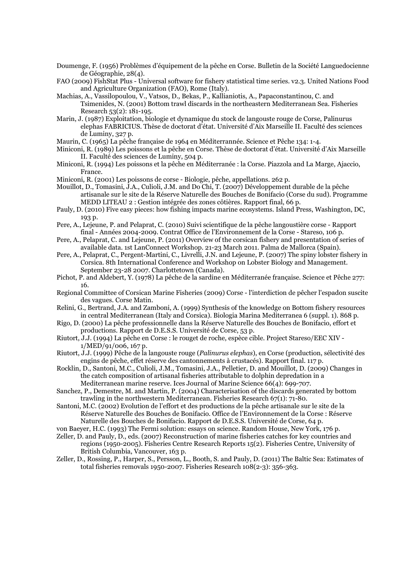- Doumenge, F. (1956) Problèmes d'équipement de la pêche en Corse. Bulletin de la Société Languedocienne de Géographie, 28(4).
- FAO (2009) FishStat Plus Universal software for fishery statistical time series. v2.3. United Nations Food and Agriculture Organization (FAO), Rome (Italy).
- Machias, A., Vassilopoulou, V., Vatsos, D., Bekas, P., Kallianiotis, A., Papaconstantinou, C. and Tsimenides, N. (2001) Bottom trawl discards in the northeastern Mediterranean Sea. Fisheries Research 53(2): 181-195.
- Marin, J. (1987) Exploitation, biologie et dynamique du stock de langouste rouge de Corse, Palinurus elephas FABRICIUS. Thèse de doctorat d'état. Université d'Aix Marseille II. Faculté des sciences de Luminy, 327 p.
- Maurin, C. (1965) La pêche française de 1964 en Méditerrannée. Science et Pêche 134: 1-4.
- Miniconi, R. (1989) Les poissons et la pêche en Corse. Thèse de doctorat d'état. Université d'Aix Marseille II. Faculté des sciences de Luminy, 504 p.
- Miniconi, R. (1994) Les poissons et la pêche en Méditerranée : la Corse. Piazzola and La Marge, Ajaccio, France.
- Miniconi, R. (2001) Les poissons de corse Biologie, pêche, appellations. 262 p.
- Mouillot, D., Tomasini, J.A., Culioli, J.M. and Do Chi, T. (2007) Développement durable de la pêche artisanale sur le site de la Réserve Naturelle des Bouches de Bonifacio (Corse du sud). Programme MEDD LITEAU 2 : Gestion intégrée des zones côtières. Rapport final, 66 p.
- Pauly, D. (2010) Five easy pieces: how fishing impacts marine ecosystems. Island Press, Washington, DC, 193 p.
- Pere, A., Lejeune, P. and Pelaprat, C. (2010) Suivi scientifique de la pêche langoustière corse Rapport final - Années 2004-2009. Contrat Office de l'Environnement de la Corse - Stareso, 106 p.
- Pere, A., Pelaprat, C. and Lejeune, P. (2011) Overview of the corsican fishery and presentation of series of available data. 1st LanConnect Workshop. 21-23 March 2011. Palma de Mallorca (Spain).
- Pere, A., Pelaprat, C., Pergent-Martini, C., Livrelli, J.N. and Lejeune, P. (2007) The spiny lobster fishery in Corsica. 8th International Conference and Workshop on Lobster Biology and Management. September 23-28 2007. Charlottetown (Canada).
- Pichot, P. and Aldebert, Y. (1978) La pêche de la sardine en Méditerranée française. Science et Pêche 277: 16.
- Regional Committee of Corsican Marine Fisheries (2009) Corse l'interdiction de pêcher l'espadon suscite des vagues. Corse Matin.
- Relini, G., Bertrand, J.A. and Zamboni, A. (1999) Synthesis of the knowledge on Bottom fishery resources in central Mediterranean (Italy and Corsica). Biologia Marina Mediterranea 6 (suppl. 1). 868 p.
- Rigo, D. (2000) La pêche professionnelle dans la Réserve Naturelle des Bouches de Bonifacio, effort et productions. Rapport de D.E.S.S. Université de Corse, 53 p.
- Riutort, J.J. (1994) La pêche en Corse : le rouget de roche, espèce cible. Project Stareso/EEC XIV 1/MED/91/006, 167 p.
- Riutort, J.J. (1999) Pêche de la langouste rouge (*Palinurus elephas*), en Corse (production, sélectivité des engins de pêche, effet réserve des cantonnements à crustacés). Rapport final. 117 p.
- Rocklin, D., Santoni, M.C., Culioli, J.M., Tomasini, J.A., Pelletier, D. and Mouillot, D. (2009) Changes in the catch composition of artisanal fisheries attributable to dolphin depredation in a Mediterranean marine reserve. Ices Journal of Marine Science 66(4): 699-707.
- Sanchez, P., Demestre, M. and Martin, P. (2004) Characterisation of the discards generated by bottom trawling in the northwestern Mediterranean. Fisheries Research 67(1): 71-80.
- Santoni, M.C. (2002) Evolution de l'effort et des productions de la pêche artisanale sur le site de la Réserve Naturelle des Bouches de Bonifacio. Office de l'Environnement de la Corse : Réserve Naturelle des Bouches de Bonifacio. Rapport de D.E.S.S. Université de Corse, 64 p.
- von Baeyer, H.C. (1993) The Fermi solution: essays on science. Random House, New York, 176 p.
- Zeller, D. and Pauly, D., eds. (2007) Reconstruction of marine fisheries catches for key countries and regions (1950-2005). Fisheries Centre Research Reports 15(2). Fisheries Centre, University of British Columbia, Vancouver, 163 p.
- Zeller, D., Rossing, P., Harper, S., Persson, L., Booth, S. and Pauly, D. (2011) The Baltic Sea: Estimates of total fisheries removals 1950-2007. Fisheries Research 108(2-3): 356-363.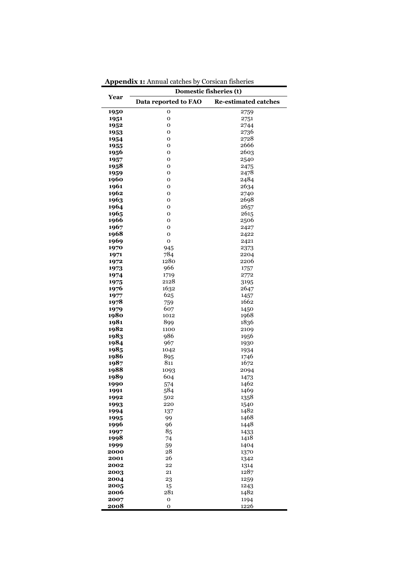|              | Domestic fisheries (t) |                             |  |  |  |  |
|--------------|------------------------|-----------------------------|--|--|--|--|
| Year         | Data reported to FAO   | <b>Re-estimated catches</b> |  |  |  |  |
| 1950         | o                      | 2759                        |  |  |  |  |
| 1951         | 0                      | 2751                        |  |  |  |  |
| 1952         | 0                      | 2744                        |  |  |  |  |
| 1953         | 0                      | 2736                        |  |  |  |  |
| 1954         | 0                      | 2728                        |  |  |  |  |
| 1955         | 0                      | 2666                        |  |  |  |  |
| 1956         | 0                      | 2603                        |  |  |  |  |
| 1957<br>1958 | 0<br>0                 | 2540<br>2475                |  |  |  |  |
| 1959         | 0                      | 2478                        |  |  |  |  |
| 1960         | 0                      | 2484                        |  |  |  |  |
| 1961         | o                      | 2634                        |  |  |  |  |
| 1962         | 0                      | 2740                        |  |  |  |  |
| 1963         | 0                      | 2698                        |  |  |  |  |
| 1964         | o                      | 2657                        |  |  |  |  |
| 1965         | 0                      | 2615                        |  |  |  |  |
| 1966         | O                      | 2506                        |  |  |  |  |
| 1967         | 0                      | 2427                        |  |  |  |  |
| 1968         | o<br>$\mathbf 0$       | 2422                        |  |  |  |  |
| 1969<br>1970 | 945                    | 2421<br>2373                |  |  |  |  |
| 1971         | 784                    | 2204                        |  |  |  |  |
| 1972         | 1280                   | 2206                        |  |  |  |  |
| 1973         | 966                    | 1757                        |  |  |  |  |
| 1974         | 1719                   | 2772                        |  |  |  |  |
| 1975         | 2128                   | 3195                        |  |  |  |  |
| 1976         | 1632                   | 2647                        |  |  |  |  |
| 1977         | 625                    | 1457                        |  |  |  |  |
| 1978         | 759                    | 1662                        |  |  |  |  |
| 1979         | 607                    | 1450                        |  |  |  |  |
| 1980<br>1981 | 1012<br>899            | 1968                        |  |  |  |  |
| 1982         | 1100                   | 1836<br>2109                |  |  |  |  |
| 1983         | 986                    | 1956                        |  |  |  |  |
| 1984         | 967                    | 1930                        |  |  |  |  |
| 1985         | 1042                   | 1934                        |  |  |  |  |
| 1986         | 895                    | 1746                        |  |  |  |  |
| 1987         | 811                    | 1672                        |  |  |  |  |
| 1988         | 1093                   | 2094                        |  |  |  |  |
| 1989         | 604                    | 1473                        |  |  |  |  |
| 1990         | 574                    | 1462                        |  |  |  |  |
| 1991         | 584<br>502             | 1469<br>1358                |  |  |  |  |
| 1992<br>1993 | 220                    | 1540                        |  |  |  |  |
| 1994         | 137                    | 1482                        |  |  |  |  |
| 1995         | 99                     | 1468                        |  |  |  |  |
| 1996         | 96                     | 1448                        |  |  |  |  |
| 1997         | 85                     | 1433                        |  |  |  |  |
| 1998         | 74                     | 1418                        |  |  |  |  |
| 1999         | 59                     | 1404                        |  |  |  |  |
| 2000         | 28                     | 1370                        |  |  |  |  |
| 2001         | 26<br>22               | 1342                        |  |  |  |  |
| 2002<br>2003 | 21                     | 1314<br>1287                |  |  |  |  |
| 2004         | 23                     | 1259                        |  |  |  |  |
| 2005         | 15                     | 1243                        |  |  |  |  |
| 2006         | 281                    | 1482                        |  |  |  |  |
| 2007         | $\mathbf 0$            | 1194                        |  |  |  |  |
| 2008         | 0                      | 1226                        |  |  |  |  |

**Appendix 1:** Annual catches by Corsican fisheries